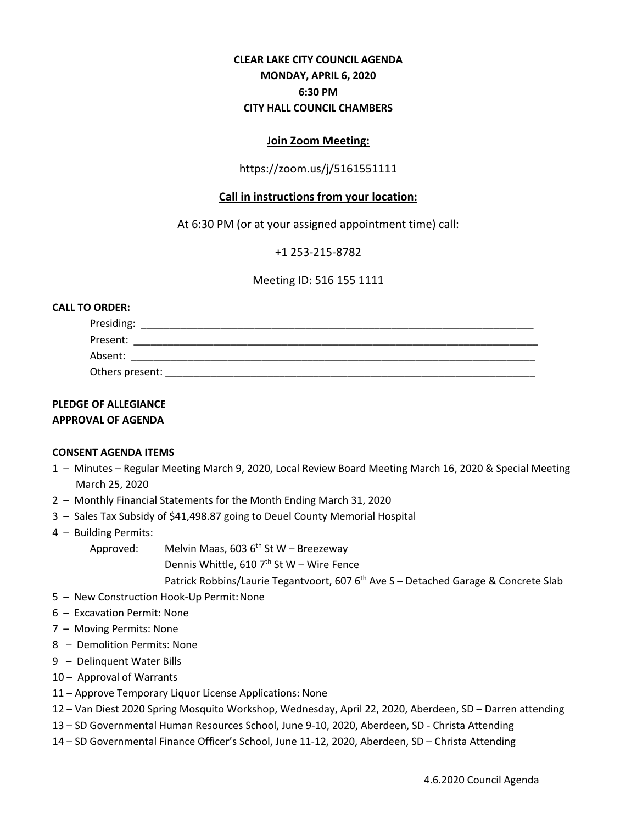# **CLEAR LAKE CITY COUNCIL AGENDA MONDAY, APRIL 6, 2020 6:30 PM CITY HALL COUNCIL CHAMBERS**

## **Join Zoom Meeting:**

# https://zoom.us/j/5161551111

# **Call in instructions from your location:**

At 6:30 PM (or at your assigned appointment time) call:

+1 253-215-8782

Meeting ID: 516 155 1111

### **CALL TO ORDER:**

| Presiding:      |  |  |
|-----------------|--|--|
| Present:        |  |  |
| Absent:         |  |  |
| Others present: |  |  |

### **PLEDGE OF ALLEGIANCE APPROVAL OF AGENDA**

### **CONSENT AGENDA ITEMS**

- 1 Minutes Regular Meeting March 9, 2020, Local Review Board Meeting March 16, 2020 & Special Meeting March 25, 2020
- 2 Monthly Financial Statements for the Month Ending March 31, 2020
- 3 Sales Tax Subsidy of \$41,498.87 going to Deuel County Memorial Hospital
- 4 Building Permits:

Approved: Melvin Maas, 603  $6<sup>th</sup>$  St W – Breezeway

Dennis Whittle, 610  $7<sup>th</sup>$  St W – Wire Fence

Patrick Robbins/Laurie Tegantvoort, 607 6<sup>th</sup> Ave S – Detached Garage & Concrete Slab

- 5 New Construction Hook-Up Permit:None
- 6 Excavation Permit: None
- 7 Moving Permits: None
- 8 Demolition Permits: None
- 9 Delinquent Water Bills
- 10 Approval of Warrants
- 11 Approve Temporary Liquor License Applications: None
- 12 Van Diest 2020 Spring Mosquito Workshop, Wednesday, April 22, 2020, Aberdeen, SD Darren attending
- 13 SD Governmental Human Resources School, June 9-10, 2020, Aberdeen, SD Christa Attending
- 14 SD Governmental Finance Officer's School, June 11-12, 2020, Aberdeen, SD Christa Attending